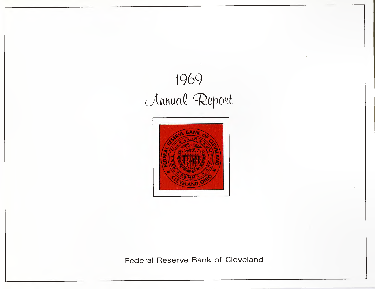# **1969** *cftMllaQ* CRepollt



**Federal Reserve Bank of Cleveland**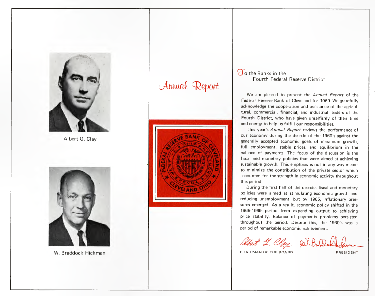

Albert G. Clay



W. Braddock Hickman

# Annual Report



### *Vo* the Banks in the Fourth Federal Reserve District:

We are pleased to present the *Annual Report* of the Federal Reserve Bank of Cleveland for 1969. We gratefully acknowledge the cooperation and assistance of the agricultural, commercial, financial, and industrial leaders of the Fourth District, who have given unselfishly of their time and energy to help us fulfill our responsibilities.

This year's *Annual Report* reviews the performance of our economy during the decade of the 1960's against the generally accepted economic goals of maximum growth, full employment, stable prices, and equilibrium in the balance of payments. The focus of the discussion is the fiscal and monetary policies that were aimed at achieving sustainable growth. This emphasis is not in any way meant to minimize the contribution of the private sector which accounted for the strength in economic activity throughout this period.

During the first half of the decade, fiscal and monetary policies were aimed at stimulating economic growth and reducing unemployment, but by 1965, inflationary pressures emerged. As a result, economic policy shifted in the 1965·1969 period from expanding output to achieving price stability. Balance of payments problems persisted throughout the period. Despite this, the 1960's was a period of remarkable economic achievement.

albert L. Clay D. Bardon the

CHAIRMAN OF THE BOARD PRESIDENT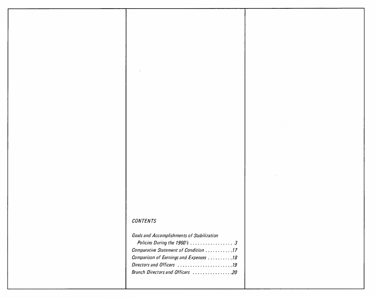### *CONTENTS*

| <b>Goals and Accomplishments of Stabilization</b> |  |
|---------------------------------------------------|--|
| Policies During the 1960's  3                     |  |
| Comparative Statement of Condition 17             |  |
| Comparison of Earnings and Expenses 18            |  |
| Directors and Officers 19                         |  |
| Branch Directors and Officers 20                  |  |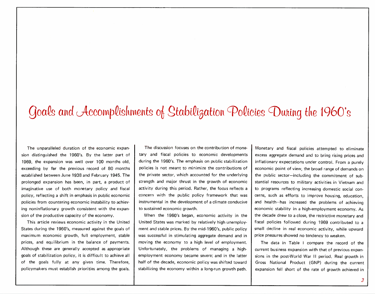# Goals and Accomplishments of Stabilization Policies Duning the 1960's

The unparalleled duration of the economic expansion distinguished the 1960's. By the latter part of 1969, the expansion was well over 100 months old, exceeding by tar the previous record of 80 months estabtished between June 1938 and February 1945. The prolonged expansion has been, in part, a product of imaginative use of both monetary policy and fiscal policy, reflecting a shift in emphasis in public economic policies from countering economic instability to achieving noninflationary growth consistent with the expansion of the productive capacity of the economy.

This article reviews economic activity in the United States during the 1960's, measured against the goals of maximum economic growth, full employment, stable prices, and equilibrium in the balance of payments. Although these are generally accepted as appropriate goals of stabilization policy, it is difficult to achieve all of the goals fully at any given time. Therefore, policymakers must establish priorities among the goals.

The discussion focuses on the contribution of monetary and fiscal policies to economic developments during the 1960's. The emphasis on public stabilization policies is not meant to minimize the contributions of the private sector, which accounted for the underlying strength and major thrust in the growth of economic activity during this period. Rather, the focus reflects a concern with the public policy framework that was instrumental in the development of a climate conducive to sustained economic growth.

When the 1960's began, economic activity in the United States was marked by relatively high unemployment and stable prices. By the mid-1960's, public policy was successful in stimulating aggregate demand and in moving the economy to a high level of employment. Unfortunately, the problems of managing a highemployment economy became severe; and in the latter half of the decade, economic policy was shifted toward stabilizing the economy within a long-run growth path.

Monetary and fiscal policies attempted to eliminate excess aggregate demand and to bring rising prices and inflationary expectations under control. From a purely economic point of view, the broad range of demands on the public sector-including the commitment of substantial resources to military activities in Vietnam and to programs reflecting increasing domestic social concerns, such as efforts to improve housing, education, and health-has increased the problems of achieving economic stability in a high-employment economy. As the decade drew to a close, the restrictive monetary and fiscal policies followed during 1969 contributed to a small decline in real economic activity, while upward price pressures showed no tendency to weaken.

The data in Table I compare the record of the current business expansion with that of previous expansions in the post-World War II period. Real growth in Gross National Product (GNP) during the current expansion fell short of the rate of growth achieved in

3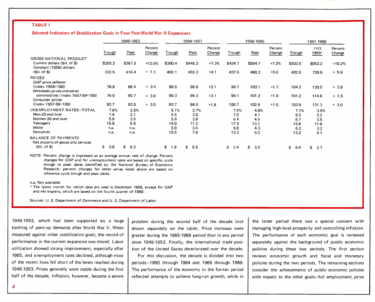#### TABLE I

Selected Indicators of Stabilization Goals in Four Post-World War II Expansions

|                                                                                                    |                                            | 1949-1953                                 |                   |                                           | 1954-1957                                |                   |                                           | 1958-1960                                |                   |                                           | 1961-1969                                |                   |
|----------------------------------------------------------------------------------------------------|--------------------------------------------|-------------------------------------------|-------------------|-------------------------------------------|------------------------------------------|-------------------|-------------------------------------------|------------------------------------------|-------------------|-------------------------------------------|------------------------------------------|-------------------|
|                                                                                                    | <b>Trough</b>                              | Peak                                      | Percent<br>Change | Trough                                    | Peak                                     | Percent<br>Change | Trough                                    | Peak                                     | Percent<br>Change | Trough                                    | IVQ.<br>1969*                            | Percent<br>Change |
| <b>GROSS NATIONAL PRODUCT</b><br>Current dollars (Bil, of \$)<br>Constant (1958) dollars           | \$255.2                                    | \$367.5                                   | $+12.6%$          | \$360.4                                   | \$446.3                                  | $+7.3%$           | \$434.7                                   | \$504.7                                  | $+7.2%$           | \$503.6                                   | \$952.2                                  | $+10.2%$          |
| $(Bil. of \$)$                                                                                     | 322.5                                      | 416.4                                     | $+7.3$            | 402.1                                     | 455.2                                    | $+4.1$            | 437.5                                     | 490.2                                    | $+6.0$            | 482.6                                     | 729.8                                    | $+ 5.9$           |
| PRICES<br>GNP price deflator                                                                       |                                            |                                           |                   |                                           |                                          |                   |                                           |                                          |                   |                                           |                                          |                   |
| $(Index 1958=100)$<br>Wholesale prices-industrial                                                  | 78.9                                       | 88.4                                      | $+3.4$            | 89.5                                      | 98.0                                     | $+3.1$            | 99.7                                      | 103.1                                    | $+1.7$            | 104.3                                     | 130.5                                    | $+2.9$            |
| commodities (Index 1957-59=100)<br>Consumer prices                                                 | 79.0                                       | 90.7                                      | $+3.9$            | 90.3                                      | 99.3                                     | $+3.1$            | 99.1                                      | 101.2                                    | $+1.0$            | 101.2                                     | 114.6                                    | $+ 1.5$           |
| $(Index 1957-59=100)$                                                                              | 82.7                                       | 93.5                                      | $+3.5$            | 93.7                                      | 98.5                                     | $+1.8$            | 100.7                                     | 102.9                                    | $+1.0$            | 103.9                                     | 131.3                                    | $+3.0$            |
| UNEMPLOYMENT RATES-TOTAL<br>Men-20 and over<br>Women-20 and over<br>Teenagers<br>White<br>Nonwhite | 7.9%<br>7.9<br>5.9<br>15.8<br>n.a.<br>n.a. | 2.5%<br>2.1<br>2.5<br>6.9<br>n.a.<br>n.a. |                   | 6.1%<br>5.5<br>5.9<br>14.0<br>5.9<br>10.5 | 3.7%<br>3.0<br>3.8<br>11.2<br>3.4<br>7.0 |                   | 7.5%<br>7.0<br>6.4<br>17.9<br>6.8<br>13.3 | 4.8%<br>4.1<br>4.5<br>13.1<br>4.3<br>9.3 |                   | 7.1%<br>6.3<br>6.7<br>15.8<br>6.3<br>13.2 | 3.5%<br>2.2<br>3.5<br>11.8<br>3.2<br>5.7 |                   |
| <b>BALANCE OF PAYMENTS</b><br>Net exports of goods and services<br>$(Bil. of S)$                   | 3.8<br>\$                                  | 0.3<br>\$                                 |                   | \$<br>1.9                                 | 5.5<br>\$                                |                   | \$<br>2.4                                 | \$<br>3.5                                |                   | \$<br>6.6                                 | \$<br>2.7                                |                   |

NOTE: Percent change is expressed as an average annual rate of change. Percent changes for GNP and for unemployment rates are based on specific cycle trough to peak dates identified by the National Bureau of Economic Research; percent changes for other series listed above are based on reference cycle trough and peak dates.

n.a. Not available.

4

'The latest month for which data are used is December 1969, except for GNP and net exports, which are based on the fourth quarter of 1969.

Sources: U. S. Department of Commerce and U. S. Department of Labor

1949-1953, which had been supported by a huge backlog of pent-up demands after World War II. When measured against other stabilization goals, the record of performance in the current expansion was mixed, Labor utilization showed strong improvement, especially after 1965, and unemployment rates declined, although most of the recent lows fell short of the levels reached during 1949-1953\_ Prices generally were stable during the first half of the decade, Inflation, however, became a severe

problem during the second half of the decade (not shown separately on the table). Price increases were greater during the 1965-1969 period than in any period since 1949-1953. Finally, the international trade position of the United States deteriorated over the decade.

For this discussion, the decade is divided into two periods-1960 through 1964 and 1965 through 1969. The performance of the economy in the former period reflected attempts to achieve long-run growth, while in

the latter period there was a special concern with managing high-level prosperity and controlling inflation. The performance of each economic goal is reviewed separately against the background of public economic policies during these two periods. The first section reviews economic growth and fiscal and monetary policies during the two periods. The remaining sections consider the achievements of public economic policies with respect to the other goals-full employment, price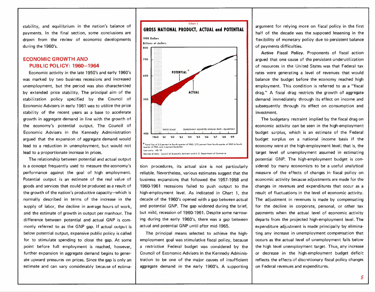stability, and equilibrium in the nation's balance of payments. In the final section, some conclusions are drawn from the review of economic developments during the 1960's.

#### ECONOMIC GROWTH AND PUBLIC POLICY: 1960-1964

Economic activity in the late 1950's and early 1960's was marked by two business recessions and increased unemployment, but the period was also characterized by extended price stability. The principal aim of the stabilization policy specified by the Council of Economic Advisers in early 1961 was to utilize the price stability of the recent years as a base to accelerate growth in aggregate demand in line with the growth of the economy's potential output. The Council of Economic Advisers in the Kennedy Administration argued that the expansion of aggregate demand would lead to a reduction in unemployment, but would not lead to a proportionate increase in prices.

The relationship between potential and actual output is a concept frequently used to measure the economy's performance against the goal of high employment. Potential output is an estimate of the real value of goods and services that could be produced as a result of the growth of the nation's productive capacity-which is normally described in terms of the increase in the supply of labor, the decline in average hours of work, and the estimate of growth in output per manhour. The difference between potential and actual GNP is cornmonly referred to as the GNP gap. If actual output is below potential output, expansive public policy is called for to stimulate spending to close the gap. At some point before full employment is reached, however, further expansion in aggregate demand begins to generate upward pressures on prices. Since the gap is only an estimate and can vary considerably because of estima-



tion procedures, its actual size is not particularly reliable. Nevertheless, various estimates suggest that the business expansions that followed the 1957·1958 and 1960-1961 recessions failed to push output to the high-employment level. As indicated in Chart 1, the decade of the 1960's opened with a gap between actual and potential GNP. The gap widened during the brief, but mild, recession of 1960-1961. Despite some narrowing during the early 1960's, there was a gap between actual and potential GNP until after mid-1965.

The principal means selected to achieve the highemployment goal was stimulative fiscal policy, because a restrictive Federal budget was considered by the Council of Economic Advisers in the Kennedy Administration to be one of the major causes of insufficient aggregate demand in the early 1960's. A supporting

argument for relying more on fiscal policy in the first half of the decade was the supposed lessening in the flexibility of monetary policy due to persistent balance of payments difficulties.

Active Fiscal Policy. Proponents of fiscal action argued that one cause of the persistent underutilization of resources in the United States was that Federal tax rates were generating a level of revenues that would balance the budget before the economy reached high employment. This condition is referred to as a "fiscal drag." A fiscal drag restricts the growth of aggregate demand immediately through its effect on income and subsequently through its effect on consumption and investment.

The budgetary restraint implied by the fiscal drag on economic activity can be seen in the high-employment budget surplus, which is an estimate of the Federal budget surplus on a national income basis if the economy were at the high-employment level; that is, the target level of unemployment assumed in estimating potential GNP. The high-employment budget is considered by many economists to be a useful analytical measure of the effects of changes in fiscal policy on economic activity because adjustments are made for the changes in revenues and expenditures that occur as a result of fluctuations in the level of economic activity. The adjustment in revenues is made by compensating for the decline in corporate, personal, or other tax payments when the actual level of economic activity departs from the projected high-employment level. The expenditure adjustment is made principally by eliminating any increase in unemployment compensation that occurs as the actual level of unemployment falls below the high level unemployment target. Thus, any increase or decrease in the high-employment budget deficit reflects the effects of discretionary fiscal policy changes on Federal revenues and expenditures.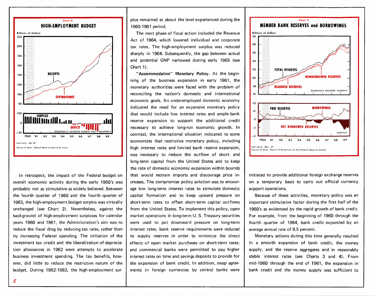

In retrospect, the impact of the Federal budget on overall economic activity during the early 1960's was probably not as stimulative as widely believed. Between the fourth quarter of 1960 and the fourth quarter of 1963, the high-employment budget surplus was virtually unchanged (see Chart 2). Nevertheless, against the background of high-employment surpluses for calendar years 1960 and 1961, the Administration's aim was to reduce the fiscal drag by reducing tax rates, rather than by increasing Federal spending. The initiation of the investment tax credit and the liberalization of depreciation allowances in 1962 were attempts to accelerate business investment spending. The tax benefits, however, did little to reduce the restrictive nature of the budget. During 1962-1963, the high-employment surplus remained at about the level experienced during the 1960-1961 period.

The next phase of fiscal action included the Revenue Act of 1964, which lowered individual and corporate tax rates. The high-employment surplus was reduced sharply in 1964. Subsequently, the gap between actual and potential GNP narrowed during early 1965 (see Chart 1).

necessary to achieve long-run economic growth. In  $\|\cdot\|$ contrast, the international situation indicated to some economists that restrictive monetary policy, including high interest rates and limited bank reserve expansion, was necessary to reduce the outflow of short- and long-term capital from the United States and to keep the rate of domestic economic expansion within bounds that would restrain imports and discourage price increases. The compromise policy solution was to encourage low long-term interest rates to stimulate domestic capital formation and to keep upward pressure on short-term rates to offset short-term capital outflows from the United States. To implement this policy, open market operations in long-term U. S. Treasury securities were used to put downward pressure on long-term interest rates; bank reserve requirements were reduced to supply reserves in order to minimize the direct effects of open market purchases on short-term rates; and commercial banks were permitted to pay higher interest rates on time and savings deposits to provide for the expansion of bank credit. In addition, swap agreements in foreign currencies by central banks were "Accommodative" Monetary Policy. At the beginning of the business expansion in early 1961, the monetary authorities were faced with the problem of reconciling the nation's domestic and international economic goals. An underemployed domestic economy indicated the need for an expansive monetary policy that would include low interest rates and ample bank reserve expansion to support the additional credit



initiated to provide additional foreign exchange reserves on a temporary basis to carry out official currency support operations.

Because of these activities, monetary policy was an important stimulative factor during the first half of the 1960's as evidenced by the rapid growth of bank credit. For example, from the beginning of 1960 through the fourth quarter of 1964, bank credit expanded by an average annual rate of 8.5 percent.

Monetary actions during this time generally resulted in a smooth expansion of bank credit, the money supply, and the reserve aggregates and in reasonably stable interest rates (see Charts 3 and 4). From mid-1960 through the end of 1961, the expansion in bank credit and the money supply was sufficient to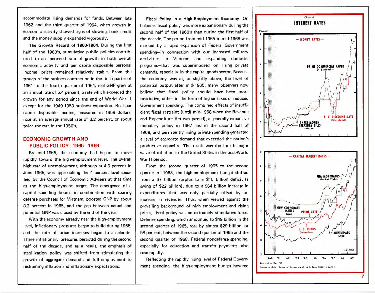accommodate rising demands for funds. Between late 1962 and the third quarter of 1964, when growth in economic activity showed signs of slowing, bank credit and the money supply expanded vigorously.

The Growth Record of 1960-1964. During the first half of the 1960's, stimulative public policies contributed to an increased rate of growth in both overall economic activity and per capita disposable personal income; prices remained relatively stable. From the trough of the business contraction in the first quarter of 1961 to the fourth quarter of 1964, real GNP grew at an annual rate of 5.4 percent, a rate which exceeded the growth for any period since the end of World War II except for the 1949-1953 business expansion. Real per capita disposable income, measured in 1958 dollars, rose at an average annual rate of 3.2 percent, or about twice the rate in the 1950's.

#### ECONOMIC GROWTH AND PUBLIC POLICY: 1965-1969

By mid-1965, the economy had begun to move rapidly toward the high-employment level. The overall high rate of unemployment, although at 4.6 percent in June 1965, was approaching the 4 percent level specified by the Council of Economic Advisers at that time as the high-employment target. The emergence of a capital spending boom, in combination with soaring defense purchases for Vietnam, boosted GNP by about 8.2 percent in 1965, and the gap between actual and potential GNP was closed by the end of the year.

With the economy already near the high-employment level, inflationary pressures began to build during 1965, and the rate of price increases began to accelerate. These inflationary pressures persisted during the second .half of the decade, and as a result, the emphasis of stabilization policy was shifted from stimulating the growth of aggregate demand and full employment to restraining inflation and inflationary expectations.

Fiscal Policy in a High-Employment Economy. On balance, fiscal policy was more expansionary during the second half of the 1960's than during the first half of the decade. The period from mid-1965 to mid-1968 was marked by a rapid expansion of Federal Government spending-in connection with our increased military activities in Vietnam and expanding domestic programs-that was superimposed on rising private demands, especially in the capital goods sector. Because the economy was at, or slightly above, the level of potential output after mid-1965, many observers now believe that fiscal policy should have been more restrictive, either in the form of higher taxes or reduced Government spending. The combined effects of insufficient fiscal restraint (until mid-1968 when the Revenue and Expenditure Act was passed). a generally expansive monetary policy in 1967 and in the second half of 1968, and persistently rising private spending generated a level of aggregate demand that exceeded the nation's productive capacity. The result was the fourth major wave of inflation in the United States in the post-World War II period.

From the second quarter of 1965 to the second quarter of 1968, the high-employment budget shifted from a \$7 billion surplus to a \$15 billion deficit (a swing of \$22 billion). due to a \$64 billion increase in expenditures that was only partially offset by an increase in revenues. Thus, when viewed against the prevailing background of high employment and rising prices, fiscal policy was an extremely stimulative force. Defense spending, which amounted to \$49 billion in the second quarter of 1965, rose by almost \$29 billion, or 58 percent, between the second quarter of 1965 and the second quarter of 1968. Federal nondefense spending, especially for education and transfer payments, also rose rapidly.

Reflecting the rapidly rising level of Federal Government spending, the high-employment budget hovered

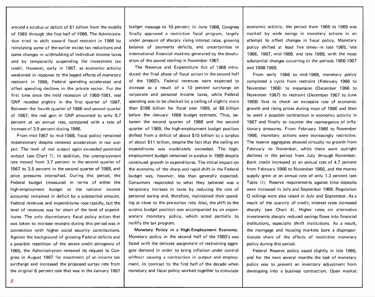around a surplus or deficit of \$1 billion from the middle of 1965 through the first half of 1966. The Administration tried to shift toward fiscal restraint in 1966 by reinstating some of the earlier excise tax reductions and some changes in withholding of individual income taxes and by temporarily suspending the investment tax credit. However, early in 1967, as economic activity weakened in response to the lagged effects of monetary restraint in 1966, Federal spending accelerated and offset spending declines in the private sector. For the first time since the mild recession of 1960-1961, real GNP receded slightly in the first quarter of 1967. Between the fourth quarter of 1966 and second quarter of 1967, the real gain in GNP amounted to only 0.7 percent at an annual rate, compared with a rate of increase of 3.9 percent during 1966.

From mid-1967 to mid-1968, fiscal policy remained expansionary despite renewed acceleration in real output. The level of real output again exceeded potential output (see Chart 1). In addition, the unemployment rate moved from 3.7 percent in the second quarter of 1967 to 3.5 percent in the second quarter of 1968, and price pressures intensified. During this period, the Federal budget (measured in terms of either the high-employment budget or the national income accounts) remained in deficit by a substantial amount. Federal revenues and expenditures rose rapidly, but the level of revenues was far short of the level of expenditures. The only discretionary fiscal policy action that was taken to increase receipts during this period was in connection with higher social security contributions. Against the background of growing Federal deficits and a possible repetition of the severe credit stringency of 1966, the Administration renewed its request to Congress in August 1967 for enactment of an income tax surcharge and increased the proposed surtax rate from the original 6 percent rate that was in the January 1967

budget message to 10 percent. In June 1968, Congress finally approved a restrictive fiscal program, largely under pressure of sharply rising interest rates, growing balance of payments deficits, and uncertainties in international financial markets generated by the devaluation of the pound sterling in November 1967.

The Revenue and Expenditure Act of 1968 introduced the final phase of fiscal action in the second half of the 1960's. Federal revenues were expected to increase as a result of a 10 percent surcharge on corporate and personal income taxes, while Federal spending was to be checked by a ceiling of slightly more than \$186 billion for fiscal year 1969, or \$6 billion below the January 1968 budget estimate. Thus, between the second quarter of 1968 and the second quarter of 1969, the high-employment budget position shifted from a deficit of about \$15 billion to a surplus of about \$11 billion, despite the fact that the ceiling on expenditures was moderately exceeded. The hiqhemployment budget remained in surplus in 1969 despite continued growth in expenditures. The initial impact on the economy of the sharp and rapid shift in the Federal budget was, however, less than generally expected. Consumers responded to what they believed was a temporary increase in taxes by reducing the rate of personal saving and, therefore, maintained their spending at close to the pre-surtax rate. Also, the shift to the surplus budget position was accompanied by an expansionary monetary policy, which acted partially to nullify the tax program.

Monetary Policy in a High-Employment Economy. Monetary policy in the second half of the 1960's was faced with the delicate assignment of restraining aggregate demand in order to bring inflation under control without causing a contraction in output and employment. In contrast to the first half of the decade when monetary and fiscal policy worked together to stimulate

economic activity, the period from 1965 to 1969 was marked by wide swings in monetary actions in an attempt to offset changes in fiscal policy. Monetary policy shifted at least five times-in late 1965, late 1966, 1967, mid-1968, and late 1968, with the most substantial changes occurring in the periods 1966-1967 and 1968·1969.

From early 1966 to mid-1968, monetary policy completed a cycle from restraint (February 1966 to November 1966) to expansion (December 1966 to November 1967) to restraint (December 1967 to June 1968) first to check an excessive rate of economic growth and rising prices during most of 1966 and then to avert a possible contraction in economic activity in 1967 and finally to counter the reemergence of inflationary pressures. From February 1966 to November 1966, monetary actions were increasingly restrictive. The reserve aggregates showed virtually no growth from February to November, while there were outright declines in the period from July through November. Bank credit increased at an annual rate of 4.7 percent from February 1966 to November 1966, and the money supply grew at an annual rate of only 1.3 percent (see Table II). Reserve requirements against time deposits were increased in July and September 1966; Regulation Q ceilings were also raised in July and September. As a result of the scarcity of credit, interest rates increased sharply (see Chart 4). Higher rates on alternative investments sharply reduced savings flows into financial institutions, especially thrift institutions. As a result, the mortgage and housing markets bore a disproportionate share of the effects of restrictive monetary policy during this period.

Federal Reserve policy eased slightly in late 1966, and for the next several months the task of monetary policy was to prevent an inventory adjustment from developing into a business contraction. Open market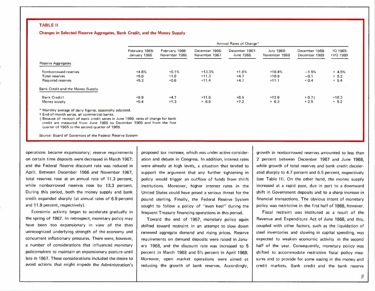#### TABLE II

#### Changes in Selected Reserve Aggregates, Bank Credit, and the Money Supply

|                                                                                                          |                                | Annual Rates of Change*         |                                 |                             |                             |                                 |                             |  |  |  |
|----------------------------------------------------------------------------------------------------------|--------------------------------|---------------------------------|---------------------------------|-----------------------------|-----------------------------|---------------------------------|-----------------------------|--|--|--|
|                                                                                                          | February 1965-<br>January 1966 | February 1966-<br>November 1966 | December 1966-<br>November 1967 | December 1967-<br>June 1968 | July 1968-<br>November 1968 | December 1968-<br>December 1969 | IQ 1965-<br><b>IVQ 1969</b> |  |  |  |
| Reserve Aggregates                                                                                       |                                |                                 |                                 |                             |                             |                                 |                             |  |  |  |
| Nonborrowed reserves                                                                                     | $+4.6%$                        | $+0.1%$                         | $+13.3%$                        | $+1.6%$                     | $+10.4%$                    | $-1.5%$                         | $+ 4.5%$                    |  |  |  |
| Total reserves                                                                                           | $+5.0$                         | $+1.0$                          | $+11.3$                         | $+4.7$                      | $+10.9$                     | $-0.1$                          | $+ 5.2$                     |  |  |  |
| Required reserves                                                                                        | $+5.3$                         | $+0.6$                          | $+11.4$                         | $+4.7$                      | $+11.1$                     | $+0.4$                          | $+ 5.4$                     |  |  |  |
| Bank Credit and the Money Supply                                                                         |                                |                                 |                                 |                             |                             |                                 |                             |  |  |  |
| Bank Creditt                                                                                             | $+9.9$                         | $+4.7$                          | $+11.9$                         | $+6.5$                      | $+12.9$                     | $+0.71$                         | $+10.3$                     |  |  |  |
| Money supply                                                                                             | $+5.4$                         | $+1.3$                          | $+6.9$                          | $+7.2$                      | $+6.3$                      | $+2.5$                          | $+ 5.2$                     |  |  |  |
| * Monthly average of daily figures, seasonally adjusted.<br>† End-of-month series, all commercial banks, |                                |                                 |                                 |                             |                             |                                 |                             |  |  |  |

 $\pm$  Because of revision of bank credit series in June 1969, rates of change for bank credit are measured from June 1969 to December 1969 and from the first quarter of 1965 to the second quarter of 1969.

Source: Board of Governors of the Federal Reserve System

operations became expansionary; reserve requirements on certain time deposits were decreased in March 1967; and the Federal Reserve discount rate was reduced in April. Between December 1966 and November 1967, total reserves rose at an annual rate of 11\_3 percent, while nonborrowed reserves rose by 13.3 percent. During this period, both the money supply and bank credit expanded sharply (at annual rates of 6.9 percent and 11.9 percent, respectively).

Economic activity began to accelerate gradually in the spring of 1967. In retrospect, monetary policy may have been too expansionary in view of the then unrecognized underlying strength of the economy and concurrent inflationary pressures. There were, however, a number of considerations that influenced monetary policymakers to maintain an expansionary posture until late in 1967. These considerations included the desire to avoid actions that might impede the Administration's proposed tax increase, which was under active consideration and debate in Congress. In addition, interest rates were already at high levels, a situation that tended to support the argument that any further tightening in policy would trigger an outflow of funds from thrift institutions. Moreover, higher interest rates in the United States could have posed a serious threat for the pound sterling. Finally, the Federal Reserve System sought to follow a policy of "even keel" during the frequent Treasury financing operations in this period.

Toward the end of 1967, monetary policy again shifted toward restraint in an attempt to slow down renewed aggregate demand and rising prices. Reserve requirements on demand deposits were raised in January 1968, and the discount rate was increased to 5 percent in March 1968 and 5% percent in April 1968. Moreover, open market operations were aimed at reducing the growth of bank reserves. Accordingly,

growth in nonborrowed reserves amounted to less than 2 percent between December 1967 and June 1968, while growth of total reserves and bank credit decelerated sharply to 4.7 percent and 6.5 percent, respectively (see Table II). On the other hand, the money supply increased at a rapid pace, due in part to a downward shift in Government deposits and to a sharp increase in financial transactions. The obvious intent of monetary policy was restrictive in the first half of 1968, however.

Fiscal restraint was instituted as a result of the Revenue and Expenditure Act of June 1968, and this, coupled with other factors, such as the liquidation of steel inventories and slowing in capital spending, was expected to weaken economic activity in the second half of the year. Consequently, monetary policy was shifted to accommodate restrictive fiscal policy measures and to provide for some easing in the money and credit markets. Bank credit and the bank reserve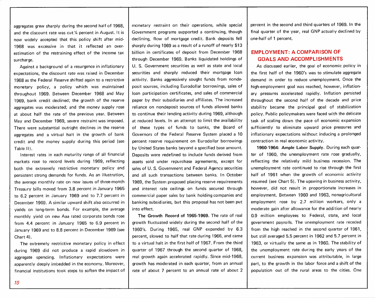aggregates grew sharply during the second half of 1968. and the discount rate was cut  $\frac{1}{4}$  percent in August. It is now widely accepted that this policy shift after mid-1968 was excessive in that it reflected an overestimation of the restraining effect of the income tax surcharge.

Against a background of a resurgence in inflationary expectations, the discount rate was raised in December 1968 as the Federal Reserve shifted again to a restrictive monetary policy, a policy which was maintained throughout 1969. Between December 1968 and May 1969, bank credit declined; the growth of the reserve aggregates was moderated; and the money supply rose at about half the rate of the previous year. Between May and December 1969, severe restraint was imposed. There were substantial outright declines in the reserve aggregates and a virtual halt in the growth of bank credit and the money supply during this period (see Table II).

Interest rates in each maturity range of all financial markets rose to record levels during 1969, reflecting both the extremely restrictive monetary policy and persistent strong demands for funds. As an illustration, the average monthly rate on new issues of three-month Treasury bills moved from 3.8 percent in January 1965 to 6.2 percent in January 1969 and to 7.7 percent in December 1969. A similar upward shift also occurred in yields on long-term bonds. For example, the average monthly yield on new Aaa rated corporate bonds rose from 4.4 percent in January 1965 to 6.9 percent in January 1969 and to 8.8 percent in December 1969 (see Chart 4).

The extremely restrictive monetary policy in effect during 1969 did not produce a rapid slowdown in aggregate spending. Inflationary expectations were apparently deeply imbedded in the economy. Moreover, financial institutions took steps to soften the impact of monetary restraint on their operations, while special Government programs supported a continuing, though declining, flow of mortgage credit. Bank deposits fell sharply during 1969 as a result of a runoff of nearly \$13 billion in certificates of deposit from December 1968 through December 1969. Banks liquidated holdings of U. S. Government securities as well as state and local securities and sharply reduced their mortgage loan activity. Banks aggressively sought funds from nondeposit sources, including Eurodollar borrowings, sales of loan participation certificates, and sales of commercial paper by their subsidiaries and affiliates. The increased reliance on nondeposit sources of funds allowed banks to continue their lending activity during 1969, although at reduced levels. In an attempt to limit the availability of these types of funds to banks, the Board of Governors of the Federal Reserve System placed a 10 percent reserve requirement on Eurodollar borrowings by United States banks beyond a specified base amount. Deposits were redefined to include funds derived from assets sold under repurchase agreements, except for sales of U. S. Government and Federal Agency securities and all such transactions between banks. In October 1969, the System proposed placing reserve requirements and interest rate ceilings on funds secured through commercial paper sales by bank holding companies and banking subsidiaries, but this proposal has not been put into effect.

The Growth Record of 1965-1969. The rate of real growth fluctuated widely during the second half of the 1960's. During 1965, real GNP expanded by 6.3 percent, slowed to half that rate during 1966, and came to a virtual halt in the first half of 1967. From the third quarter of 1967 through the second quarter of 1968, real growth again accelerated rapidly. Since mid-1968, growth has moderated in each quarter, from an annual rate of about 7 percent to an annual rate of about 2 percent in the second and third quarters of 1969. In the final quarter of the year, real GNP actually declined by one-half of 1 percent.

#### **EMPLOYMENT: A COMPARISON OF GOALS AND ACCOMPLISHMENTS**

As discussed earlier, the goal of economic policy in the first half of the 1960's was to stimulate aggregate demand in order to reduce unemployment. Once the high-employment goal was reached, however, inflationary pressures accelerated rapidly. Inflation persisted throughout the second half of the decade and price stability became the principal goal of stabilization policy. Public policymakers were faced with the delicate task of scaling down the pace of economic expansion sufficiently to eliminate upward price pressures and inflationary expectations without inducing a prolonged contraction in real economic activity.

1960-1964: Ample Labor Supply. During each quarter of 1960, the unemployment rate rose gradually, reflecting the relatively mild business recession. The unemployment rate continued to rise through the first half of 1961 when the growth of economic activity resumed (see Chart 5). The upswing in business activity, however, did not result in proportionate increases in employment. Between 1960 and 1963, nonagricultural employment rose by 2.7 million workers, only a moderate gain after allowance for the addition of nearly 0.9 million employees to Federal, state, and local government payrolls. The unemployment rate receded from the high reached in the second quarter of 1961, but still averaged 5.5 percent in 1962 and 5.7 percent in 1963, or virtually the same as in 1960. The stability of the unemployment rate during the early years of the current business expansion was attributable, in large part, to the growth in the labor force and a shift of the population out of the rural areas to the cities. One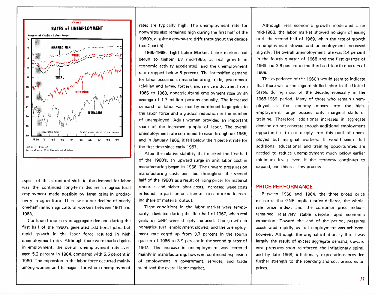

aspect of this structural shift in the demand for labor was the continued long-term decline in agricultural employment made possible by large gains in productivity in agriculture. There was a net decline of nearly one-half million agricultural workers between 1961 and 1963.

Continued increases in aggregate demand during the first half of the 1960's generated additional jobs, but rapid growth in the labor force resulted in high unemployment rates. Although there were marked gains in employment, the overall unemployment rate averaged 5.2 percent in 1964, compared with 5.5 percent in 1960. The expansion in the labor force occurred mainly among women and teenagers, for whom unemployment rates are typically high. The unemployment rate for nonwhites also remained high during the first half of the 1960's, despite a downward drift throughout the decade (seeChart 5).

1965-1969: Tight labor Market. Labor markets had begun to tighten by mid-1965, as real growth in economic activity accelerated, and the unemployment rate dropped below 5 percent. The intensified demand for labor occurred in manufacturing, trade, government (civilian and armed forces), and service industries. From 1966 to 1969, nonagricultural employment rose by an average of 1.7 million persons annually. The increased demand for labor was met by continued large gains in the labor force and a gradual reduction in the number of unemployed. Adult women provided an important share of the increased supply of labor. The overall unemployment rate continued to ease throughout 1965. and in January 1966, it fell below the 4 percent rate for the first time since early 1957.

After the relative stability that marked the first half of the 1960's, an upward surge in unit labor cost in manufacturing began in 1966. The upward pressures on manufacturing costs persisted throughout the second half of the 1960's as a result of rising prices for material resources and higher labor costs. Increased wage costs reflected, in part, union attempts to capture an increasing share of material output.

Tight conditions in the labor market were temporarily alleviated during the first half of 1967, when real gains in GNP were sharply reduced. The growth in nonagricultural employment slowed, and the unemployment rate edged up from 3.7 percent in the fourth quarter of 1966 to 3.9 percent in the second quarter of 1967. The increase in unemployment was centered mainly in manufacturing; however, continued expansion of employment in government, services, and trade stabilized the overall labor market.

Although real economic growth moderated after mid-1968, the labor market showed no signs of easing until the second half of 1969, when the rate of growth in employment slowed and unemployment increased slightly. The overall unemployment rate was 3.4 percent in the fourth quarter of 1968 and the first quarter of 1969 and 3.6 percent in the third and fourth quarters of 1969.

The experience of  $t \rightarrow 1960$ 's would seem to indicate that there was a shortaqe of skilled labor in the United States during most of the decade, especially in the 1965-1969 period. Many of those who remain unemployed as the economy moves into the highemployment range possess only marginal skills or training. Therefore, additional increases in aggregate demand do not generate enough additional employment opportunities to cut deeply into this pool of unemployed but marginal workers. It would seem that additional educational and training opportunities are needed to reduce unemployment much below earlier minimum levels even if the economy continues to expand, and this is a slow process.

#### PRICE PERFORMANCE

Between 1960 and 1964, the three broad price measures-the GNP implicit price deflator, the wholesale price index, and the consumer price indexremained relatively stable despite rapid economic expansion. Toward the end of the period, pressures accelerated rapidly as full employment was achieved, however. Although the original inflationary thrust was largely the result of excess aggregate demand, upward cost pressures soon reinforced the inflationary spiral, and by late 1968, inflationary expectations provided further strength to the spending and cost pressures on prices.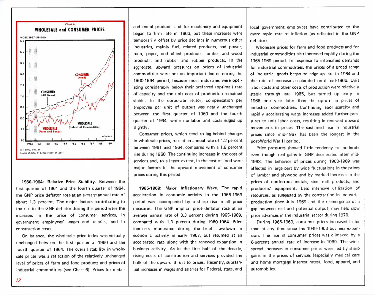

1960-1964: Relative Price Stability. Between the first quarter of 1961 and the fourth quarter of 1964, the GNP price deflator rose at an average annual rate of about 1.3 percent, The major factors contributing to the rise in the GNP deflator during this period were the increases in the price of consumer services, in government employees' wages and salaries, and in construction costs.

On balance, the wholesale price index was virtually unchanged between the first quarter of 1960 and the fourth quarter of 1964. The overall stability in wholesale prices was a reflection of the relatively unchanged level of prices of farm and food products and prices of industrial commodities (see Chart 6). Prices for metals and metal products and for machinery and equipment began to firm late in 1963, but these increases were temporarily offset by price declines in numerous other industries, mainly fuel, related products, and power; pulp, paper, and allied products; lumber and wood products; and rubber and rubber products. In the aggregate, upward pressures on prices of industrial commodities were not an important factor during the 1960-1964 period, because most industries were operating considerably below their preferred (optimal) rate of capacity and the unit cost of production remained stable. In the corporate sector, compensation per employee per unit of output was nearly unchanged between the first quarter of 1960 and the fourth quarter of 1964, while nonlabor unit costs edged up slightly.

Consumer prices, which tend to lag behind changes in wholesale prices, rose at an annual rate of 1.2 percent between 1961 and 1964, compared with a 1.6 percent rise during 1960. The continuing increases in the cost of services and, to a lesser extent, in the cost of food were major factors in the upward movement of consumer prices during this period.

1965-1969: Major Inflationary Wave. The rapid acceleration in economic activity in the 1965-1969 period was accompanied by a sharp rise in all price measures. The GNP implicit price deflator rose at an average annual rate of 3.3 percent during 1965-1969, compared with 1.3 percent during 1960-1964. Price increases moderated during the brief slowdown in economic activity in early 1967, but resumed at an accelerated rate along with the renewed expansion in business activity. As in the first half of the decade, rising costs of construction and services provided the bulk of the upward thrust to prices. Recently, substantial increases in wages and salaries for Federal, state, and local government employees have contributed to the more rapid rate of inflation (as reflected in the GNP deflator) ,

Wholesale prices for farm and food products and for industrial commodities also increased rapidly during the 1965-1969 period. In response to intensified demands for industrial commodities, the prices of a broad range of industrial goods began to edge up late in 1964 and the rate of increase accelerated until mid-1966. Unit labor costs and other costs of production were relatively stable through late 1965, but turned up early in 1966-one year later than the upturn in prices of industrial commodities. Continuing labor scarcity and rapidly accelerating wage increases added further pressures to unit labor costs, resulting in renewed upward movements in prices. The sustained rise in industrial prices since mid-1967 has been the longest in the post-World War II period.

Price pressures showed little tendency to moderate even though real gains in GNP decelerated after mid-1968. The behavior of prices during 1968-1969 was affected in large part by wide fluctuations in the prices of lumber and plywood and by marked increasesin the prices of nonferrous metals, steel mill products, and producers' equipment. Less intensive utilization of resources, as suggested by the contraction in industrial production since July 1969 and the reemergence of a gap between real and potential output, may help slow price advances in the industrial sector during 1970.

During 1965-1969, consumer prices increased faster than at any time since the 1949-1953 business expansion. The rise in consumer prices was climaxed by a 6-percent annual rate of increase in 1969. The widespread increases in consumer prices were led by sharp gains in the prices of services (especially medical care and home mortgage interest rates), food, apparel, and automobiles.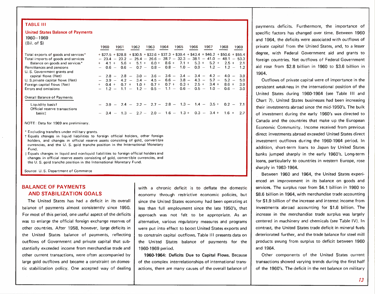#### TABLE **III**

#### United States Balance of Payments 1960-1969

 $(DH \cap A \in \mathfrak{B})$ 

| (DII, DI.                            |     | 1960     | 1961 | 1962          | 1963 | 1964 | 1965                                  | 1966    | 1967                                                                                        | 1968    | 1969 |
|--------------------------------------|-----|----------|------|---------------|------|------|---------------------------------------|---------|---------------------------------------------------------------------------------------------|---------|------|
| Total exports of goods and services* |     |          |      |               |      |      |                                       |         | $+$ \$27.5 + \$28.8 + \$30.5 + \$32.6 + \$37.3 + \$39.4 + \$43.4 + \$46.2 + \$50.6 + \$55.4 |         |      |
| Total imports of goods and services  |     |          |      |               |      |      |                                       |         | $-23.4 - 23.2 - 25.4 - 26.6 - 28.7 - 32.3 - 38.1 - 41.0 - 48.1 - 53.3$                      |         |      |
| Balance on goods and services*       | $+$ | $4.1 +$  |      |               |      |      |                                       |         | $5.6 + 5.1 + 6.0 + 8.6 + 7.1 + 5.3 + 5.2 + 2.5 +$                                           |         | 2.1  |
| Remittances and pensions             |     |          |      |               |      |      |                                       |         | $0.6 - 0.6 - 0.7 - 0.8 - 0.8 - 1.0 - 0.9 - 1.2 - 1.2 - 1.2$                                 |         |      |
| U. S. Government grants and          |     |          |      |               |      |      |                                       |         |                                                                                             |         |      |
| capital flows (Net)                  |     |          |      |               |      |      |                                       |         | $-$ 2.8 - 2.8 - 3.0 - 3.6 - 3.6 - 3.4 - 3.4 - 4.2 - 4.0 -                                   |         | 3.9  |
| U. S. private capital flows (Net)    |     | $-3.9 -$ |      |               |      |      |                                       |         | $4.2 - 3.4 - 4.5 - 6.6 - 3.8 - 4.3 - 5.7 - 5.2 -$                                           |         | 5.0  |
| Foreign capital flows (Net)          |     | $0.4 +$  |      | $0.7 + 1.0 +$ |      |      | $0.7 + 0.7 + 0.3 +$                   | $2.5 +$ | $3.4 +$                                                                                     | $8.6 +$ | 3.9  |
| Errors and omissions                 |     | $1.2 -$  |      |               |      |      | $1.1 - 1.2 - 0.5 - 1.1 - 0.6 - 0.5 -$ |         | $1.0 -$                                                                                     | $0.6 -$ | 3.0  |
| Overall Balance of Payments          |     |          |      |               |      |      |                                       |         |                                                                                             |         |      |
| Liquidity basist                     |     |          |      |               |      |      |                                       |         | $-3.9 - 2.4 - 2.2 - 2.7 - 2.8 - 1.3 - 1.4 - 3.5 + 0.2 - 7.1$                                |         |      |
| Official reserve transactions        |     |          |      |               |      |      |                                       |         |                                                                                             |         |      |
| basis‡                               |     |          |      |               |      |      |                                       |         | $3.4 - 1.3 - 2.7 - 2.0 - 1.6 - 1.3 + 0.3 - 3.4 + 1.6 + 2.7$                                 |         |      |
| NOTE: Data for 1969 are preliminary. |     |          |      |               |      |      |                                       |         |                                                                                             |         |      |

- Excluding transfers under military grants.
- t Equals changes in liquid liabilities to foreign official holders, other foreign holders, and changes in official reserve assets consisting of gold, convertible currencies, and the U. S. gold tranche position in the International Monetary Fund.
- $\pm$  Equals changes in liquid and nonliquid liabilities to foreign official holders and changes in official reserve assets consisting of gold, convertible currencies, and the U. S. gold tranche position in the International Monetary Fund.

Source: U. S. Department of Commerce

### BALANCE OF PAYMENTS **AND STABILIZATION GOALS**

The United States has had a deficit in its overall balance of payments almost consistently since 1950. For most of this period, one useful aspect of the deficits was to enlarge the official foreign exchange reserves of other countries. After 1958, however, large deficits in the United States balance of payments, reflecting outflows of Government and private capital that substantially exceeded income from merchandise trade and other current transactions, were often accompanied by large gold outflows and became a constraint on domestic stabilization policy. One accepted way of dealing

with a chronic deficit is to deflate the domestic economy through restrictive economic policies, but since the United States economy had been operating at less than full employment since the late 1950's, that approach was not felt to be appropriate. As an alternative, various regulatory measures and programs were put into effect to boost United States exports and to constrain capital outflows. Table III presents data on the United States balance of payments for the 1960-1969 period.

1960-1964: Deficits Due to Capital Flows. Because of the complex interrelationships of international transactions, there are many causes of the overall balance of payments deficits. Furthermore, the importance of specific factors has changed over time. Between 1960 and 1964, the deficits were associated with outflows of private capital from the United States, and, to a lesser degree, with Federal Government aid and grants to foreign countries. Net outflows of Federal Government aid rose from \$2.8 billion in 1960 to \$3.6 billion in 1964.

Outflows of private capital were of importance in the persistent weakness in the international position of the United States during 1960-1964 (see Table III and Chart 7). United States businesses had been increasing their investments abroad since the mid-1950's. The bulk of investment during the early 1960's was directed to Canada and the countries that make up the European Economic Community. Income received from previous direct investments abroad exceeded United States direct investment outflows during the 1960-1964 period. In addition, short-term loans to Japan by United States banks jumped sharply in the early 1960's. Long-term loans, particularly to countries in western Europe, rose sharply in 1963-1964.

Between 1960 and 1964, the United States experienced an improvement in its balance on goods and services. The surplus rose from \$4.1 billion in 1960 to \$8.6 billion in 1964, with merchandise trade accounting for \$1.9 billion of the increase and interest income from investments abroad accounting for \$1.6 billion. The increase in the merchandise trade surplus was largely centered in machinery and chemicals (see Table IV). In contrast, the United States trade deficit in mineral fuels deteriorated further, and the trade balance for steel mill products swung from surplus to deficit between 1960 and 1964.

Other components of the United States current transactions showed varying trends during the first half of the 1960's. The deficit in the net balance on military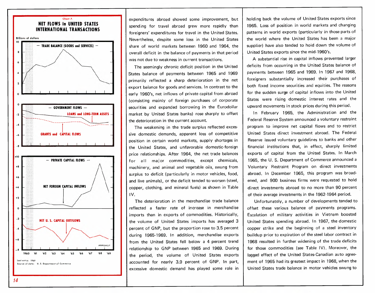

expenditures abroad showed some improvement, but spending for travel abroad grew more rapidly than foreigners' expenditures for travel in the United States, Nevertheless, despite some loss in the United States share of world markets between 1960 and 1964, the overall deficit in the balance of payments in that period was not due to weakness in current transactions,

The seemingly chronic deficit position in the United States balance of payments between 1965 and 1969 primarily reflected a sharp deterioration in the net export balance for goods and services, In contrast to the early 1960's, net inflows of private capital from abroad (consisting mainly of foreign purchases of corporate securities and expanded borrowing in the Eurodollar market by United States banks) rose sharply to offset the deterioration in the current account.

The weakening in the trade surplus reflected excessive domestic demands, apparent loss of competitive position in certain world markets, supply shortages in the United States, and unfavorable domestic-foreign price relationships. After 1964, the net trade balances for all major commodities, except chemicals, machinery, and animal and vegetable oils, swung from surplus to deficit (particularly in motor vehicles, food, and live animals). or the deficit tended to worsen (steel, copper, clothing, and mineral fuels) as shown in Table IV.

The deterioration in the merchandise trade balance reflected a faster rate of increase in merchandise imports than in exports of commodities. Historically, the volume of United States imports has averaged 3 percent of GNP, but the proportion rose to 3.5 percent during 1965-1969. In addition, merchandise exports from the United States fell below a 4 percent trend relationship to GNP between 1965 and 1969. During the period, the volume of United States exports accounted for nearly 3.9 percent of GNP. In part, excessive domestic demand has played some role in holding back the volume of United States exports since 1965. Loss of position in world markets and changing patterns in world exports (particularly in those parts of the world where the United States has been a major supplier) have also tended to hold down the volume of United States exports since the mid-1960's.

A substantial rise in capital inflows prevented larger deficits from occurring in the United States balance of payments between 1965 and 1969. In 1967 and 1968, foreigners substantially increased their purchases of both fixed income securities and equities. The reasons for the sudden surge of capital inflows into the United States were rising domestic interest rates and the upward movements in stock prices during this period.

In February 1965, the Administration and the Federal Reserve System announced a voluntary restraint program to improve net capital flows and to restrict United States direct investment abroad. The Federal Reserve issued voluntary guidelines to banks and other financial institutions that, in effect, sharply limited exports of capital from the United States. In March 1965, the U. S. Department of Commerce announced a Voluntary Restraint Program on direct investments abroad. In December 1965, this program was broadened, and 900 business firms were requested to hold direct investments abroad to no more than 90 percent of their average investments in the 1962-1964 period.

Unfortunately, a number of developments tended to offset these various balance of payments programs. Escalation of military activities in Vietnam boosted United States spending abroad. In 1967, the domestic copper strike and the beginning of a steel inventory buildup prior to expiration of the steel labor contract in 1968 resulted in further widening of the trade deficits for those commodities (see Table IV). Moreover, the lagged effect of the United States-Canadian auto agreement of 1965 had its greatest impact in 1968, when the United States trade balance in motor vehicles swung to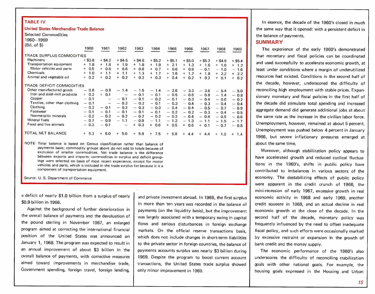#### TABLE IV

#### United States Merchandise Trade Balance

Selected Commodities 1960-1969

| $(Bil. of $)$                 |            |                          |                          |            |                    |                                 |            |            |            |               |
|-------------------------------|------------|--------------------------|--------------------------|------------|--------------------|---------------------------------|------------|------------|------------|---------------|
|                               | 1960       | 1961                     | 1962                     | 1963       | 1964               | 1965                            | 1966       | 1967       | 1968       | 1969          |
| TRADE SURPLUS COMMODITIES     |            |                          |                          |            |                    |                                 |            |            |            |               |
| Machinery                     | $+$ \$3.8  | $+$ \$4.2                | $+$ \$4.5                | $+$ \$4.6  | $+$ \$5.2          | $+$ \$5.1                       | $+$ \$5.0  | $+$ \$5.2  | $+$ \$4.9  | $+$ \$5.4     |
| Transportation equipment      | $+ 1.8$    | $+ 1.8$                  | $+ 1.9$                  | $+ 1.8$    | - 1.9<br>$+$       | 2.1<br>$+$                      | $+ 1.3$    | $+ 1.6$    | $+ 1.6$    | $+$ 1.2       |
| Motor vehicles and parts      | 0.5<br>$+$ | $+ 0.6$                  | $+ 0.6$                  | $+ 0.6$    | $+ 0.7$            | 0.6<br>$+$                      | 0.9<br>$+$ | $-0.1$     | $-1.0$     | $-1.6$        |
| Chemicals                     | 1.0<br>$+$ | $+$ 1.1                  | $+ 1.1$                  | $+ 1.3$    | 1.7<br>$\ddotmark$ | 1.6<br>$+$                      | 1.7<br>$+$ | 1.8<br>$+$ | 2.2<br>$+$ | 2.2<br>$+$    |
| Animal and vegetable oil      | $+ 0.2$    | $+ 0.2$                  | $+ 0.2$                  | 0.2<br>$+$ | 0.3<br>$+$         | 0.4<br>$+$                      | 0.2<br>$+$ | $+ 0.2$    | 0.1<br>$+$ | $+$<br>0.2    |
| TRADE DEFICIT COMMODITIES     |            |                          |                          |            |                    |                                 |            |            |            |               |
| Other manufactured goods      | $-0.8$     | $-0.8$                   | $-1.4$                   | $-1.5$     | $-1.4$             | 2.6<br>$\overline{\phantom{m}}$ | $-3.3$     | $-3.6$     | $-5.4$     | $-5.0$        |
| fron and steel-mill products  | $+ 0.2$    | $+ 0.1$                  | $\overline{\phantom{m}}$ | $-0.1$     | $-0.1$             | $-0.5$                          | $-0.6$     | $-0.8$     | $-1.4$     | $-0.8$        |
| Copper                        | $-0.1$     | $\overline{\phantom{0}}$ | $-0.1$                   | $-0.1$     | $-0.2$             | $-0.1$                          | $-0.3$     | $-0.4$     | $-0.6$     | $-0.2$        |
| Textiles, other than clothing | $-0.1$     | $\overline{\phantom{m}}$ | $-0.2$                   | $-0.2$     | $-0.1$             | $-0.3$                          | $-0.4$     | $-0.3$     | $-0.4$     | $-0.4$        |
| Clothing                      | $-0.2$     | $-0.1$                   | $-0.2$                   | $-0.3$     | $-0.3$             | $-0.4$                          | $-0.4$     | $-0.5$     | $-0.7$     | $-0.9$        |
| Footwear                      | $-0.1$     | $-0.1$                   | $-0.1$                   | $-0.1$     | $-0.1$             | $-0.2$                          | $-0.2$     | $-0.3$     | $-0.4$     | $-0.5$        |
| Nonmetallic minerals          | $-0.2$     | $-0.2$                   | $-0.2$                   | $-0.2$     | $-0.2$             | $-0.3$                          | $-0.4$     | $-0.4$     | $-0.5$     | $-0.6$        |
| Mineral fuels                 | $-0.7$     | $-0.9$                   | $-1.1$                   | $-0.9$     | $-1.1$             | $-1.3$                          | $-1.3$     | $-1.1$     | $-1.5$     | $-1.7$        |
| Food and live animals         | $-0.3$     | $-0.1$                   | $\overline{\phantom{m}}$ | 0.3<br>$+$ | $+ 0.6$            | 0.5<br>$+$                      | 0.6<br>$+$ | $+ 0.1$    | $-0.7$     | $-0.8$        |
| TOTAL NET BALANCE             | $+ 5.3$    | 6.0<br>$+$               | 5.0<br>$+$               | 5.9<br>$+$ | 7.5<br>$+$         | 5.8<br>$+$                      | 4.4<br>$+$ | 4.4<br>$+$ | 1.0<br>$+$ | $^{+}$<br>1.4 |

NOTE: Total balance is based on Census classification rather than balance of payments basis; commodity groups above do not add to totals because of exclusion of smaller commodities. Net trade balance is the difference between exports and imports; commodities in surplus and deficit groupings were selected on basis of most recent experience, except for motor vehicles and parts, which is included in the trade surplus list because it is a component of transportation equipment.

Source: U. S. Department of Commerce

a deficit of nearly \$1.0 billion from a surplus of nearly \$0.9 billion in 1966.

Against the background of further deterioration in the overall balance of payments and the devaluation of the pound sterling in November 1967, an enlarged program aimed at correcting the international financial position of the United States was announced on January 1, 1968. The program was expected to result in an annual improvement of about \$3 billion in the overall balance of payments, with corrective measures aimed toward improvements in merchandise trade, Government spending, foreign travel, foreign lending,

and private investment abroad. In 1968, the first surplus in more than ten years was recorded in the balance of payments (on the liquidity basis), but the improvement was largely associated with a temporary swing in capital flows and serious disturbances in foreign exchange markets. On the official reserve transactions basis, which does not include changes in short-term liabilities to the private sector in foreign countries, the balance of payments accounts surplus was nearly \$3 billion during 1969. Despite the program to boost current account transactions, the United States trade surplus showed only minor improvement in 1969.

In essence, the decade of the 1960's closed in much the same way that it opened: with a persistent deficit in the balance of payments.

#### **SUMMARY**

The experience of the early 1960's demonstrated that monetary and fiscal policies can be coordinated and used successfully to accelerate economic growth, at least under conditions where a margin of underutilized resources had existed. Conditions in the second half of the decade, however, underscored the difficulty of reconciling high employment with stable prices. Expansionary monetary and fiscal policies in the first half of the decade did stimulate total spending and increased aggregate demand did generate additional jobs at about the same rate as the increase in the civilian labor force. Unemployment, however, remained at about 5 percent. Unemployment was pushed below 4 percent in January 1966, but severe inflationary pressures emerged at about the same time.

Moreover, although stabilization policy appears to have accelerated growth and reduced cyclical fluctuations in the 1960's, shifts in public policy have contributed to imbalances in various sectors of the economy. The destabilizing effects of public policy were apparent in the credit crunch of 1966, the mini-recession of early 1967, excessive growth in real economic activity in 1968 and early 1969, another credit squeeze in 1969, and an actual decline in real economic growth at the close of the decade. In the second half of the decade, monetary policy was frequently influenced by the need to offset inadequate fiscal policy, and such efforts were occasionally marked by excessive restraint or expansion in the growth of bank credit and the money supply.

The economic performance of the 1960's also underscores the difficulty of reconciling stabilization goals with other national goals. For example, the housing goals expressed in the Housing and Urban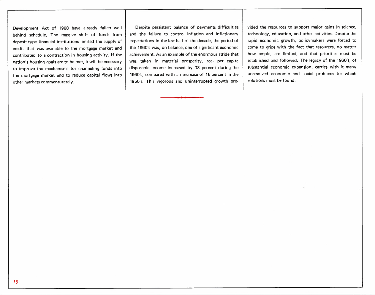Development Act of 1968 have already fallen well behind schedule. The massive shift of funds from deposit-type financial institutions limited the supply of credit that was available to the mortgage market and contributed to a contraction in housing activity. If the nation's housing goals are to be met, it will be necessary to improve the mechanisms for channeling funds into the mortgage market and to reduce capital flows into other markets commensurately.

Despite persistent balance of payments difficulties and the failure to control inflation and inflationary expectations in the last half of the decade, the period of the 1960's was, on balance, one of significant economic achievement. As an example of the enormous stride that was taken in material prosperity, real per capita disposable income increased by 33 percent during the 1960's, compared with an increase of 15 percent in the 1950's. This vigorous and uninterrupted growth provided the resources to support major gains in science, technology, education, and other activities. Despite the rapid economic growth, policymakers were forced to come to grips with the fact that resources, no matter how ample, are limited, and that priorities must be established and followed. The legacy of the 1960's, of substantial economic expansion, carries with it many unresolved economic and social problems for which solutions must be found.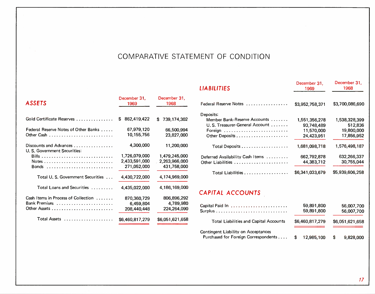# COMPARATIVE STATEMENT OF CONDITION

| <b>ASSETS</b>                                          | December 31,<br>1969 | December 31,<br>1968 |
|--------------------------------------------------------|----------------------|----------------------|
| Gold Certificate Reserves                              | 862,419,422<br>S.    | 739,174,302<br>\$    |
| Federal Reserve Notes of Other Banks                   | 67,979,120           | 66,500,994           |
|                                                        | 10,155,756           | 23,827,000           |
| Discounts and Advances<br>U. S. Government Securities: | 4,300,000            | 11,200,000           |
|                                                        | 1,726,079,000        | 1,479,245,000        |
|                                                        | 2,433,591,000        | 2,263,966,000        |
|                                                        | 271,052,000          | 431,758,000          |
| Total U.S. Government Securities                       | 4,430,722,000        | 4,174,969,000        |
| Total Loans and Securities                             | 4,435,022,000        | 4,186,169,000        |
| Cash Items in Process of Collection                    | 870,360,729          | 806,896,292          |
|                                                        | 6,459,804            | 4,789,980            |
|                                                        | 208,440,448          | 224,264,090          |
| Total Assets                                           | \$6,460,817,279      | \$6.051.621.658      |

| <b>LIABILITIES</b>               | 1969            | 1968            |
|----------------------------------|-----------------|-----------------|
| Federal Reserve Notes            | \$3.952.758.371 | \$3,700,086,690 |
| Deposits:                        |                 |                 |
| Member Bank-Reserve Accounts     | 1,551,356,278   | 1,538,328,399   |
| U. S. Treasurer-General Account  | 93,748,489      | 512,836         |
| Foreign                          | 11,570,000      | 19,800,000      |
|                                  | 24,423,951      | 17,856,952      |
|                                  | 1,681,098,718   | 1,576,498,187   |
| Deferred Availability Cash Items | 662,792,878     | 632,266,337     |
| Other Liabilities                | 44,383,712      | 30,755,044      |
| Total Liabilities                | \$6,341,033,679 | \$5,939,606,258 |

December 31,

December 31,

# *CAPITAL* **ACCOUNTS**

| Capital Paid In                                                                    |  | 59,891,800<br>59,891,800 | 56,007,700<br>56,007,700 |                 |  |  |  |
|------------------------------------------------------------------------------------|--|--------------------------|--------------------------|-----------------|--|--|--|
| <b>Total Liabilities and Capital Accounts</b>                                      |  | \$6,460,817,279          |                          | \$6,051,621,658 |  |  |  |
| <b>Contingent Liability on Acceptances</b><br>Purchased for Foreign Correspondents |  | 12,985,100               |                          | 9,828,000       |  |  |  |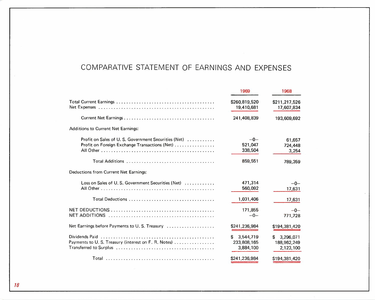# COMPARATIVE STATEMENT OF EARNINGS AND EXPENSES

|                                                                                                      | 1969                                        | 1968                                        |
|------------------------------------------------------------------------------------------------------|---------------------------------------------|---------------------------------------------|
|                                                                                                      | \$260,819,520<br>19,410,681                 | \$211,217,526<br>17,607,834                 |
|                                                                                                      | 241,408,839                                 | 193,609,692                                 |
| <b>Additions to Current Net Earnings:</b>                                                            |                                             |                                             |
| Profit on Sales of U.S. Government Securities (Net)<br>Profit on Foreign Exchange Transactions (Net) | $-0-$<br>521,047<br>338,504<br>859,551      | 61,657<br>724,448<br>3,254<br>789,359       |
| Deductions from Current Net Earnings:                                                                |                                             |                                             |
| Loss on Sales of U.S. Government Securities (Net)                                                    | 471,314<br>560,092                          | $-0-$<br>17,631                             |
| Total Deductions                                                                                     | 1,031,406                                   | 17,631                                      |
|                                                                                                      | 171,855<br>$-0-$                            | $-0-$<br>771,728                            |
| Net Earnings before Payments to U.S. Treasury                                                        | \$241,236,984                               | \$194,381,420                               |
| Dividends Paid<br>Payments to U.S. Treasury (interest on F. R. Notes)                                | 3,544,719<br>\$<br>233,808,165<br>3,884,100 | \$<br>3.296.071<br>188,962,249<br>2,123,100 |
|                                                                                                      | \$241,236,984                               | \$194,381,420                               |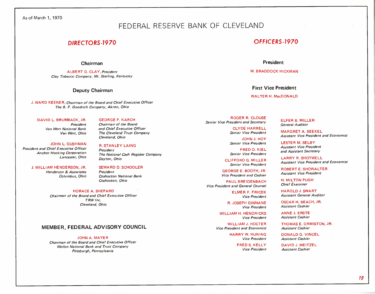#### As of March 1, 1970

### FEDERAL RESERVE BANK OF CLEVELAND

#### **Chairman**

ALBERT G. CLAY, *President Clay Tobacco Company, Mt. Sterling, Kentucky*

J. WA RD KE ENE R, *Chairman of the Board and Chief Executive Officer The B. F. Goodrich Company, Akron, Ohio*

#### DAVID L. BRUMBACK, JR. *President Van Wert National Bank*

*Van Wert, Ohio*

*President and Chief Executive Officer Anchor Hocking Corporation Lancaster, Ohio*

#### J. WILLIAM HENDERSON, JR.

*Henderson* & *Associates Columbus, Ohio*

SEWARD D. SCHOOLER *President Coshocton National Bank*

*Dayton, Ohio*

*Cleveland, Ohio*

*President*

GEORGE F. KARCH *Chairman of the Board and Chief Executive Officer The Cleveland Trust Company*

R. STANLEY LAING

*The National Cash Register Company*

HORACE A. SHEPARD *Chairman of the Board and Chief Executive Officer TRW Inc. Cleveland, Ohio*

#### **MEMBER, FEDERAL ADVISORY COUNCIL**

JOHN A. MAYER *Chairman of the Board and Chief Executive Officer Mellon National Bank and Trust Company Pittsburgh, Pennsylvania*

### *OIRECTORS-1970 OFFICERS-1970*

#### **President**

W. BRADDOCK HICKMAN

**Deputy Chairman First Vice President**

#### WALTER H. MacDONALD

ROGER R. CLOUSE *Senior Vice President and Secretary*

> CLYDE HARRELL *Senior Vice President*

JOHN J. HOY JOHN L. GUSH MAN *Senior Vice President*

> FRED O. KIEL *Senior Vice President*

CLIFFORD G. MILLER *Senior Vice President*

GEORGE E. BOOTH, JR: *Vice President and Cashier*

**Coshocton, Ohio PAUL BREIDENBACH** *Vice President and General Counsel*

> ELMER F. FRICEK *Vice President*

> > R. JOSEPH GINNANE *Vice President*

WILLIAM H. HENDRICKS *Vice President*

WILLIAM J. HOCTER *Vice President and Economist*

> HARRY W. HUNING *Vice President*

> > FRED S. KELLY *Vice President*

ELFER B. MILLER *General Auditor*

MARGRET A. BEEKEL *Assistant Vice President and Economist*

LESTER M. SELBY *Assistant Vice President and Assistant Secretary*

LARRY R. SHOTWELL *Assistant Vice President and Economist*

ROBERT E. SHOWALTER *Assistant Vice President*

H. MILTON PUGH *Chief Examiner*

HAROLD J. SWART *Assistant General Auditor*

OSCAR H. BEACH, JR. *Assistant Cashier*

ANNE J. ERSTE *Assistant Cashier*

THOMAS E. ORMISTON, JR. *Assistant Cashier*

DONALD G. VINCEL *Assistant Cashier*

DAVID J. WEITZEL *Assistant Cashier*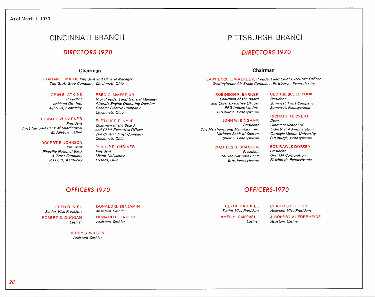#### As of March 1, 1970

## **CINCINNATI BRANCH**

#### **Chairman Chairman**

GRAHAM E. MARX, *President and General Manager The* G. *A. Gray Company, Cincinnati, Ohio*

ORIN E. ATKINS *President Ashland Oil, Inc. Ashland, Kentucky*

#### FRED O. MacFEE, JR.

*Vice President and General Manager Aircraft Engine Operating Division General Electric Company Cincinnati, Ohio*

#### EDWARD W. BARKER *President*

*First National Bank of Middletown Middletown, Ohio*

#### ROBERT B. JOHNSON *President Pikeville National Bank & Trust Company Pikeville, Kentucky*

#### FLETCHER E. NYCE *Chairman of the Board and Chief Executive Officer*

*The Central Trust Company Cincinnati, Ohio*

PHILLIP R. SHRIVER *President*

*Miami University Oxford, Ohio*

## **PITTSBURGH BRANCH**

### *DIRECTORS-1970 DIRECTORS-1970*

LAWRENCE E. WALKLEY, *President and Chief Executive Officer WestinghouseAir Brake Company, Pittsburgh, Pennsylvania*

#### ROBINSON F. BARKER

*Chairman of the Board and Chief Executive Officer PPG Industries, Inc. Pittsburgh, Pennsylvania*

#### JOHN W. BINGHAM

*President The Merchants and Manufacturers National Bank of Sharon Sharon, Pennsylvania*

#### CHARLES H. BRACKEN

*President Marine National Bank Erie, Pennsylvania*

GEORGE SCULL COOK *President Somerset Trust Company Somerset, Pennsylvania*

#### RICHARD M. CYERT

*Dean Graduate School of Industrial Administration Carnegie·Mellon University Pittsburgh, Pennsylvania*

#### BOB RAWLS DORSEY

*President Gulf Oil Corporation Pittsburgh, Pennsylvania*

### *OFFICERS-1970 OFFICERS-1970*

JERRY S. WILSON

FRED O. KIEL *Senior Vice President* ROBERT D. DUGGAN *Cashier*

DONALD G. BENJAMIN *Assistant Cashier* HOWARD E. TAYLOR *Assistant Cashier*

#### CLYDE HARRELL

*Senior Vice President*

*Cashier*

CHARLES E. HOUPT *Assistant Vice President*

J. ROBERT AUFDERHEIDE *Assistant Cashier*

*Assistant Cashier*

JAMES H. CAMPBELL